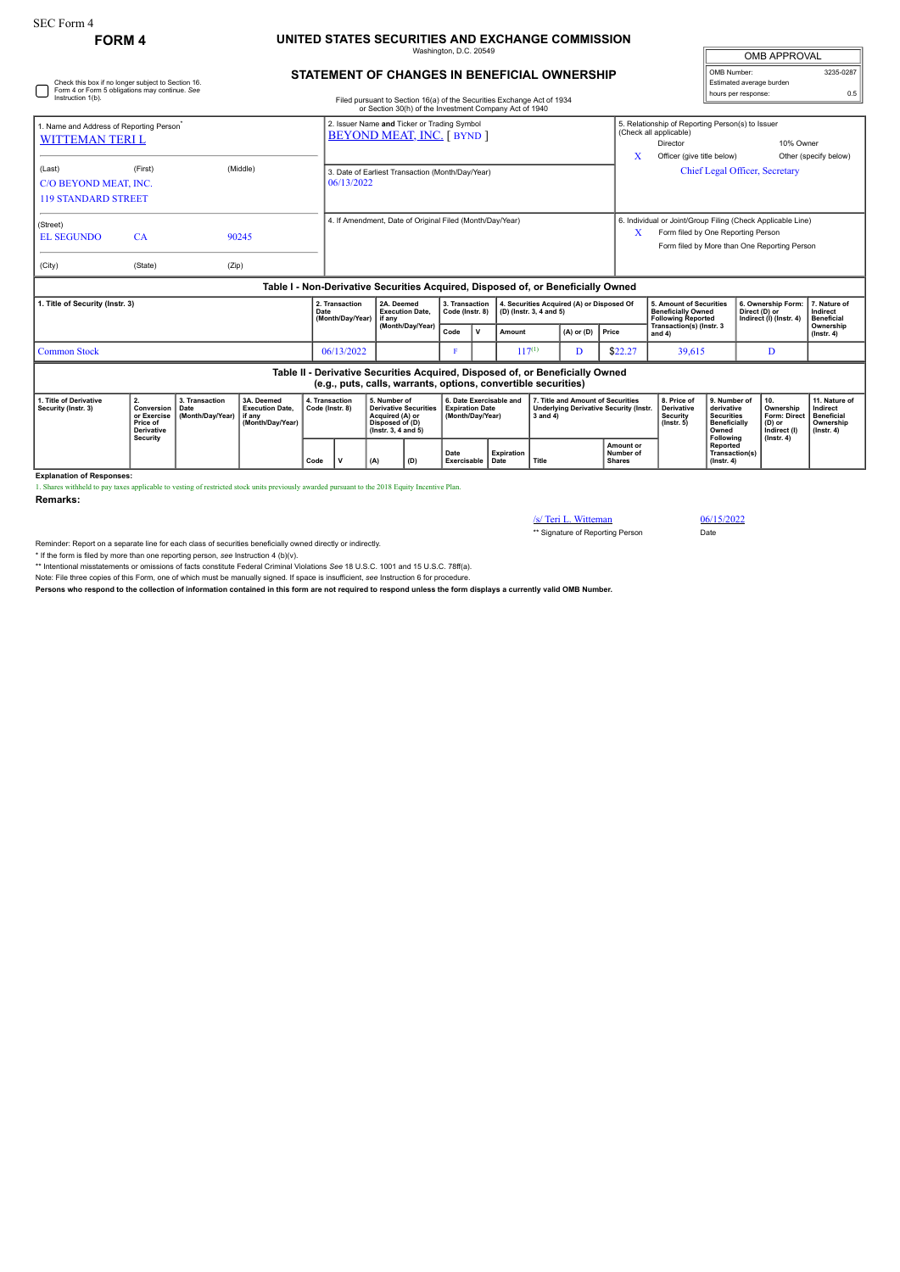## **FORM 4 UNITED STATES SECURITIES AND EXCHANGE COMMISSION** Washington, D.C. 20549

| <b>OMB APPROVAL</b>      |           |  |  |  |  |  |  |  |
|--------------------------|-----------|--|--|--|--|--|--|--|
| OMB Number:              | 3235-0287 |  |  |  |  |  |  |  |
| Estimated average burden |           |  |  |  |  |  |  |  |
| hours per response:      | ሰ 5       |  |  |  |  |  |  |  |

**11. Nature of Indirect Beneficial Ownership (Instr. 4)**

|                                                                                                                           |                                                                              |                                                                                                                               |                                                                    |      |                                                                                  |     |                                                                                                                                                 |                                   |                                                                       |                           |                                           |                                                                                                |                                                                                          |                                                                                                                                                   |                                                                                              |  | UMB APPROVAL                                                                   |                                                                                |  |
|---------------------------------------------------------------------------------------------------------------------------|------------------------------------------------------------------------------|-------------------------------------------------------------------------------------------------------------------------------|--------------------------------------------------------------------|------|----------------------------------------------------------------------------------|-----|-------------------------------------------------------------------------------------------------------------------------------------------------|-----------------------------------|-----------------------------------------------------------------------|---------------------------|-------------------------------------------|------------------------------------------------------------------------------------------------|------------------------------------------------------------------------------------------|---------------------------------------------------------------------------------------------------------------------------------------------------|----------------------------------------------------------------------------------------------|--|--------------------------------------------------------------------------------|--------------------------------------------------------------------------------|--|
| Check this box if no longer subject to Section 16.<br>Form 4 or Form 5 obligations may continue. See<br>Instruction 1(b). |                                                                              | <b>STATEMENT OF CHANGES IN BENEFICIAL OWNERSHIP</b><br>Filed pursuant to Section 16(a) of the Securities Exchange Act of 1934 |                                                                    |      |                                                                                  |     |                                                                                                                                                 |                                   |                                                                       |                           |                                           |                                                                                                | OMB Number:<br>Estimated average burden<br>hours per response:                           |                                                                                                                                                   |                                                                                              |  |                                                                                |                                                                                |  |
|                                                                                                                           |                                                                              |                                                                                                                               |                                                                    |      |                                                                                  |     | or Section 30(h) of the Investment Company Act of 1940                                                                                          |                                   |                                                                       |                           |                                           |                                                                                                |                                                                                          |                                                                                                                                                   |                                                                                              |  |                                                                                |                                                                                |  |
| 1. Name and Address of Reporting Person <sup>®</sup><br><b>WITTEMAN TERIL</b>                                             |                                                                              |                                                                                                                               |                                                                    |      | 2. Issuer Name and Ticker or Trading Symbol<br><b>BEYOND MEAT, INC. [ BYND ]</b> |     |                                                                                                                                                 |                                   |                                                                       |                           |                                           |                                                                                                |                                                                                          | 5. Relationship of Reporting Person(s) to Issuer<br>(Check all applicable)<br>10% Owner<br>Director                                               |                                                                                              |  |                                                                                |                                                                                |  |
| (Last)<br>C/O BEYOND MEAT, INC.<br><b>119 STANDARD STREET</b>                                                             | (Middle)<br>(First)                                                          |                                                                                                                               |                                                                    |      | 3. Date of Earliest Transaction (Month/Day/Year)<br>06/13/2022                   |     |                                                                                                                                                 |                                   |                                                                       |                           |                                           |                                                                                                |                                                                                          | Officer (give title below)<br>X<br>Other (specify below)<br>Chief Legal Officer, Secretary                                                        |                                                                                              |  |                                                                                |                                                                                |  |
| (Street)<br><b>EL SEGUNDO</b>                                                                                             | CA                                                                           |                                                                                                                               | 90245                                                              |      | 4. If Amendment, Date of Original Filed (Month/Day/Year)                         |     |                                                                                                                                                 |                                   |                                                                       |                           |                                           |                                                                                                | X                                                                                        | 6. Individual or Joint/Group Filing (Check Applicable Line)<br>Form filed by One Reporting Person<br>Form filed by More than One Reporting Person |                                                                                              |  |                                                                                |                                                                                |  |
| (City)                                                                                                                    | (State)                                                                      | (Zip)                                                                                                                         |                                                                    |      |                                                                                  |     |                                                                                                                                                 |                                   |                                                                       |                           |                                           |                                                                                                |                                                                                          |                                                                                                                                                   |                                                                                              |  |                                                                                |                                                                                |  |
|                                                                                                                           |                                                                              |                                                                                                                               |                                                                    |      |                                                                                  |     | Table I - Non-Derivative Securities Acquired, Disposed of, or Beneficially Owned                                                                |                                   |                                                                       |                           |                                           |                                                                                                |                                                                                          |                                                                                                                                                   |                                                                                              |  |                                                                                |                                                                                |  |
| 1. Title of Security (Instr. 3)                                                                                           |                                                                              |                                                                                                                               |                                                                    |      | 2. Transaction<br>Date<br>(Month/Day/Year)                                       |     | 2A. Deemed<br><b>Execution Date.</b><br>if any<br>(Month/Day/Year)                                                                              | 3. Transaction<br>Code (Instr. 8) |                                                                       | (D) (Instr. 3, 4 and 5)   | 4. Securities Acquired (A) or Disposed Of |                                                                                                | <b>5. Amount of Securities</b><br><b>Beneficially Owned</b><br><b>Following Reported</b> |                                                                                                                                                   | 6. Ownership Form<br>Direct (D) or<br>Indirect (I) (Instr. 4)                                |  | 7. Nature of<br>Indirect<br><b>Beneficial</b>                                  |                                                                                |  |
|                                                                                                                           |                                                                              |                                                                                                                               |                                                                    |      |                                                                                  |     |                                                                                                                                                 | Code                              | $\mathsf{v}$                                                          | Amount                    |                                           | $(A)$ or $(D)$                                                                                 | Price                                                                                    | Transaction(s) (Instr. 3<br>and $4)$                                                                                                              |                                                                                              |  |                                                                                | Ownership<br>$($ lnstr. 4 $)$                                                  |  |
| <b>Common Stock</b><br>06/13/2022                                                                                         |                                                                              |                                                                                                                               |                                                                    |      |                                                                                  |     |                                                                                                                                                 | F                                 |                                                                       |                           | $117^{(1)}$                               |                                                                                                | \$22.27                                                                                  | 39,615                                                                                                                                            |                                                                                              |  | D                                                                              |                                                                                |  |
|                                                                                                                           |                                                                              |                                                                                                                               |                                                                    |      |                                                                                  |     | Table II - Derivative Securities Acquired, Disposed of, or Beneficially Owned<br>(e.g., puts, calls, warrants, options, convertible securities) |                                   |                                                                       |                           |                                           |                                                                                                |                                                                                          |                                                                                                                                                   |                                                                                              |  |                                                                                |                                                                                |  |
| 1. Title of Derivative<br>Security (Instr. 3)                                                                             | 2.<br>Conversion<br>or Exercise<br>Price of<br><b>Derivative</b><br>Security | 3. Transaction<br>Date<br>(Month/Day/Year)                                                                                    | 3A. Deemed<br><b>Execution Date.</b><br>if any<br>(Month/Day/Year) |      | 4. Transaction<br>Code (Instr. 8)                                                |     | 5. Number of<br><b>Derivative Securities</b><br>Acquired (A) or<br>Disposed of (D)<br>(Instr. 3, 4 and 5)                                       |                                   | 6. Date Exercisable and<br><b>Expiration Date</b><br>(Month/Day/Year) |                           |                                           | 7. Title and Amount of Securities<br><b>Underlying Derivative Security (Instr.</b><br>3 and 4) |                                                                                          | 8. Price of<br><b>Derivative</b><br><b>Security</b><br>$($ Instr. 5 $)$                                                                           | 9. Number of<br>derivative<br><b>Securities</b><br><b>Beneficially</b><br>Owned<br>Following |  | 10.<br>Ownership<br>Form: Direct<br>(D) or<br>Indirect (I)<br>$($ lnstr. 4 $)$ | 11. Nature o<br>Indirect<br><b>Beneficial</b><br>Ownership<br>$($ lnstr. 4 $)$ |  |
|                                                                                                                           |                                                                              |                                                                                                                               |                                                                    | Code | $\mathbf{v}$                                                                     | (A) | (D)                                                                                                                                             | Date<br>Exercisable               |                                                                       | <b>Expiration</b><br>Date | Title                                     |                                                                                                | Amount or<br>Number of<br><b>Shares</b>                                                  |                                                                                                                                                   | Reported<br>Transaction(s)<br>$($ Instr. 4 $)$                                               |  |                                                                                |                                                                                |  |
| <b>Explanation of Responses:</b>                                                                                          |                                                                              |                                                                                                                               |                                                                    |      |                                                                                  |     |                                                                                                                                                 |                                   |                                                                       |                           |                                           |                                                                                                |                                                                                          |                                                                                                                                                   |                                                                                              |  |                                                                                |                                                                                |  |

1. Shares withheld to pay taxes applicable to vesting of restricted stock units previously awarded pursuant to the 2018 Equity Incentive Plan.

**Remarks:**

/s/ Teri L. Witteman 06/15/2022

\*\* Signature of Reporting Person Date

Reminder: Report on a separate line for each class of securities beneficially owned directly or indirectly.

\* If the form is filed by more than one reporting person, *see* Instruction 4 (b)(v).

\*\* Intentional misstatements or omissions of facts constitute Federal Criminal Violations See 18 U.S.C. 1001 and 15 U.S.C. 78ff(a).<br>Note: File three copies of this Form, one of which must be manually signed. If space is in

**Persons who respond to the collection of information contained in this form are not required to respond unless the form displays a currently valid OMB Number.**